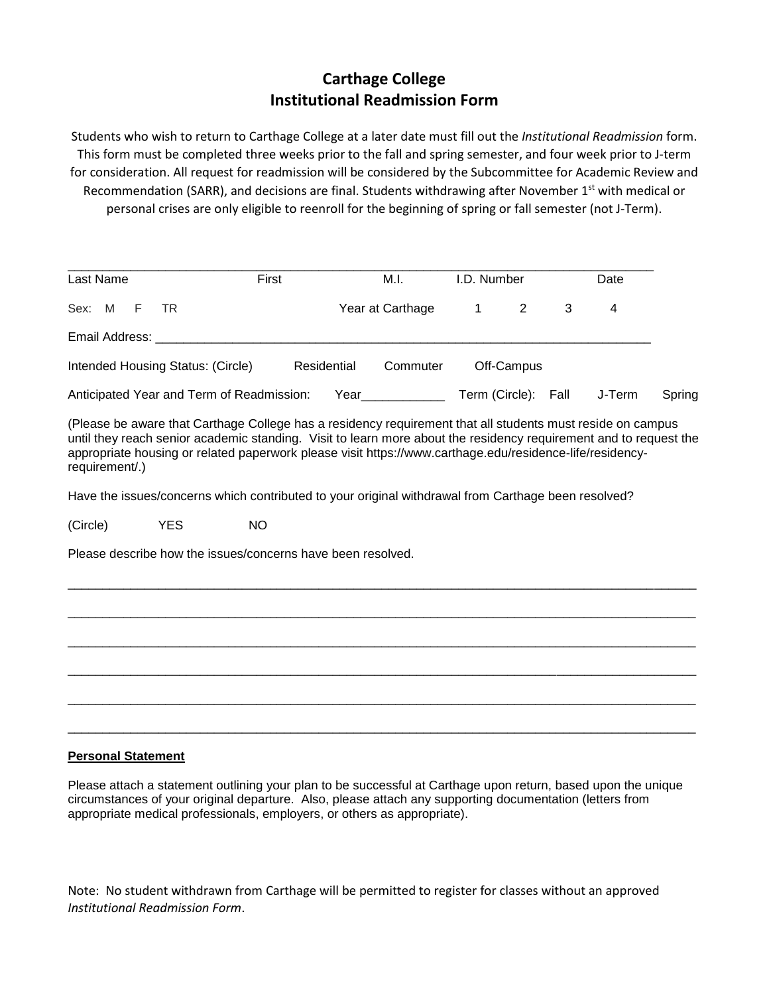## **Carthage College Institutional Readmission Form**

Students who wish to return to Carthage College at a later date must fill out the *Institutional Readmission* form. This form must be completed three weeks prior to the fall and spring semester, and four week prior to J-term for consideration. All request for readmission will be considered by the Subcommittee for Academic Review and Recommendation (SARR), and decisions are final. Students withdrawing after November  $1<sup>st</sup>$  with medical or personal crises are only eligible to reenroll for the beginning of spring or fall semester (not J-Term).

| Last Name                                                                                                                                                                                                                                                                                                                                                     | First     | M.I.                                                                                                                                                                                                                            | I.D. Number         |   | Date   |        |
|---------------------------------------------------------------------------------------------------------------------------------------------------------------------------------------------------------------------------------------------------------------------------------------------------------------------------------------------------------------|-----------|---------------------------------------------------------------------------------------------------------------------------------------------------------------------------------------------------------------------------------|---------------------|---|--------|--------|
| Sex: M<br>F<br>TR.                                                                                                                                                                                                                                                                                                                                            |           | Year at Carthage                                                                                                                                                                                                                | 2<br>$\mathbf{1}$   | 3 | 4      |        |
| Email Address: Email Address:                                                                                                                                                                                                                                                                                                                                 |           |                                                                                                                                                                                                                                 |                     |   |        |        |
| Intended Housing Status: (Circle)                                                                                                                                                                                                                                                                                                                             |           | Residential<br>Commuter                                                                                                                                                                                                         | Off-Campus          |   |        |        |
| Anticipated Year and Term of Readmission:                                                                                                                                                                                                                                                                                                                     |           | Year and the state of the state of the state of the state of the state of the state of the state of the state of the state of the state of the state of the state of the state of the state of the state of the state of the st | Term (Circle): Fall |   | J-Term | Spring |
| (Please be aware that Carthage College has a residency requirement that all students must reside on campus<br>until they reach senior academic standing. Visit to learn more about the residency requirement and to request the<br>appropriate housing or related paperwork please visit https://www.carthage.edu/residence-life/residency-<br>requirement/.) |           |                                                                                                                                                                                                                                 |                     |   |        |        |
| Have the issues/concerns which contributed to your original withdrawal from Carthage been resolved?                                                                                                                                                                                                                                                           |           |                                                                                                                                                                                                                                 |                     |   |        |        |
| (Circle)<br><b>YES</b>                                                                                                                                                                                                                                                                                                                                        | <b>NO</b> |                                                                                                                                                                                                                                 |                     |   |        |        |
| Please describe how the issues/concerns have been resolved.                                                                                                                                                                                                                                                                                                   |           |                                                                                                                                                                                                                                 |                     |   |        |        |
|                                                                                                                                                                                                                                                                                                                                                               |           |                                                                                                                                                                                                                                 |                     |   |        |        |
|                                                                                                                                                                                                                                                                                                                                                               |           |                                                                                                                                                                                                                                 |                     |   |        |        |
|                                                                                                                                                                                                                                                                                                                                                               |           |                                                                                                                                                                                                                                 |                     |   |        |        |
|                                                                                                                                                                                                                                                                                                                                                               |           |                                                                                                                                                                                                                                 |                     |   |        |        |
|                                                                                                                                                                                                                                                                                                                                                               |           |                                                                                                                                                                                                                                 |                     |   |        |        |
|                                                                                                                                                                                                                                                                                                                                                               |           |                                                                                                                                                                                                                                 |                     |   |        |        |

## **Personal Statement**

Please attach a statement outlining your plan to be successful at Carthage upon return, based upon the unique circumstances of your original departure. Also, please attach any supporting documentation (letters from appropriate medical professionals, employers, or others as appropriate).

Note: No student withdrawn from Carthage will be permitted to register for classes without an approved *Institutional Readmission Form*.